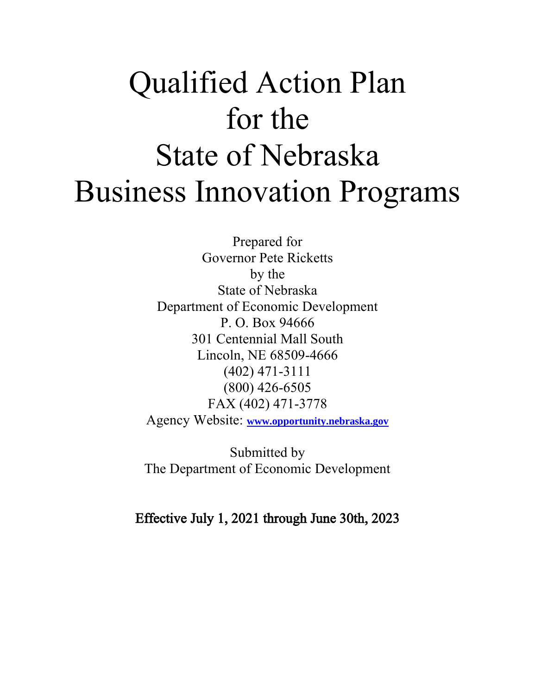# Qualified Action Plan for the State of Nebraska Business Innovation Programs

Prepared for Governor Pete Ricketts by the State of Nebraska Department of Economic Development P. O. Box 94666 301 Centennial Mall South Lincoln, NE 68509-4666 (402) 471-3111 (800) 426-6505 FAX (402) 471-3778 Agency Website: **[www.opportunity.nebraska.gov](http://www.opportunity.nebraska.gov/)**

Submitted by The Department of Economic Development

Effective July 1, 2021 through June 30th, 2023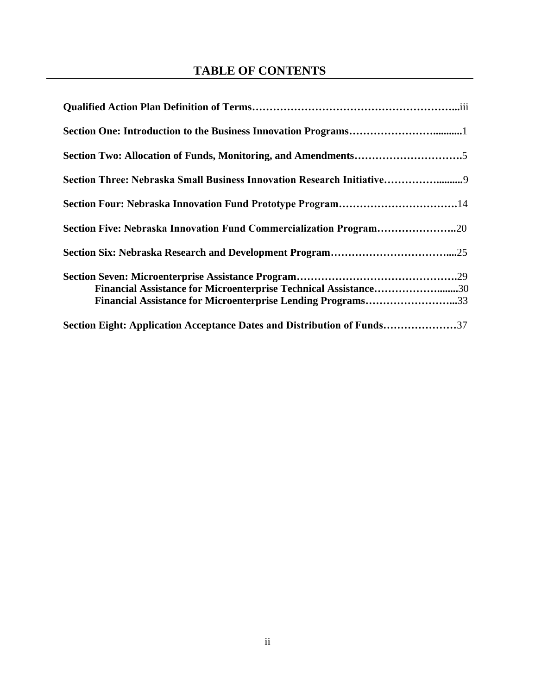#### **TABLE OF CONTENTS**

| Section Three: Nebraska Small Business Innovation Research Initiative9                                                         |
|--------------------------------------------------------------------------------------------------------------------------------|
|                                                                                                                                |
| Section Five: Nebraska Innovation Fund Commercialization Program20                                                             |
|                                                                                                                                |
| Financial Assistance for Microenterprise Technical Assistance30<br>Financial Assistance for Microenterprise Lending Programs33 |
| Section Eight: Application Acceptance Dates and Distribution of Funds37                                                        |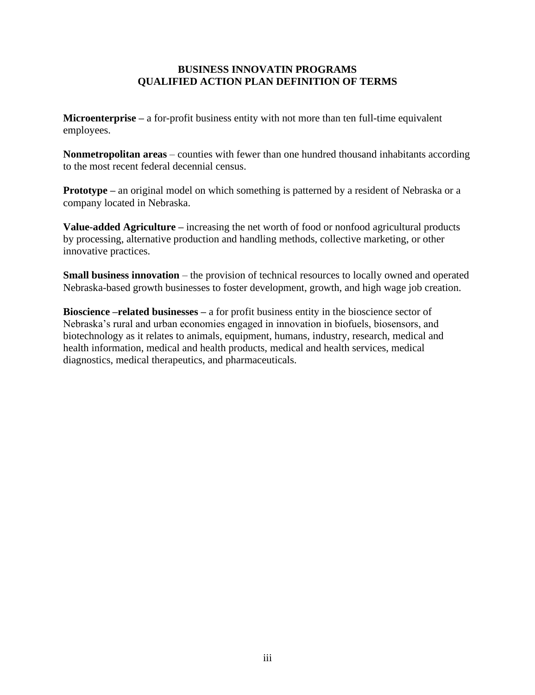#### **BUSINESS INNOVATIN PROGRAMS QUALIFIED ACTION PLAN DEFINITION OF TERMS**

**Microenterprise –** a for-profit business entity with not more than ten full-time equivalent employees.

**Nonmetropolitan areas** – counties with fewer than one hundred thousand inhabitants according to the most recent federal decennial census.

**Prototype** – an original model on which something is patterned by a resident of Nebraska or a company located in Nebraska.

**Value-added Agriculture –** increasing the net worth of food or nonfood agricultural products by processing, alternative production and handling methods, collective marketing, or other innovative practices.

**Small business innovation** – the provision of technical resources to locally owned and operated Nebraska-based growth businesses to foster development, growth, and high wage job creation.

**Bioscience –related businesses –** a for profit business entity in the bioscience sector of Nebraska's rural and urban economies engaged in innovation in biofuels, biosensors, and biotechnology as it relates to animals, equipment, humans, industry, research, medical and health information, medical and health products, medical and health services, medical diagnostics, medical therapeutics, and pharmaceuticals.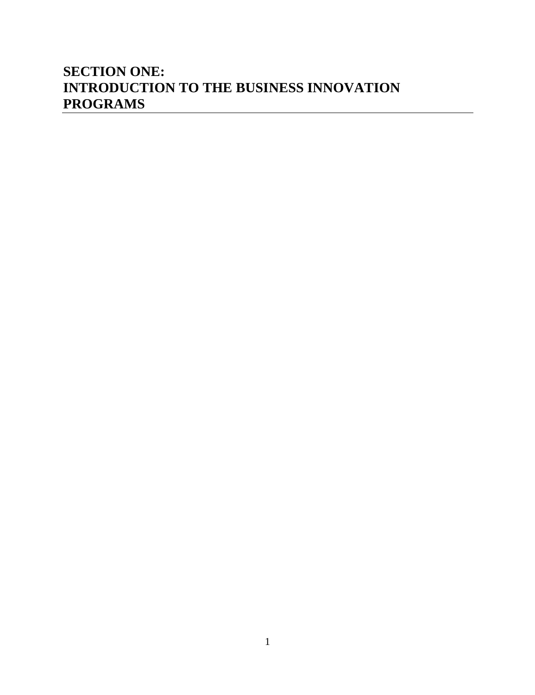#### **SECTION ONE: INTRODUCTION TO THE BUSINESS INNOVATION PROGRAMS**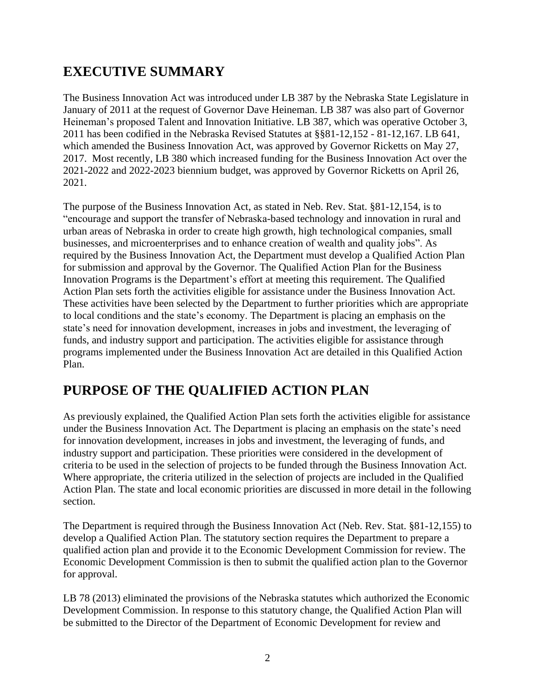#### **EXECUTIVE SUMMARY**

The Business Innovation Act was introduced under LB 387 by the Nebraska State Legislature in January of 2011 at the request of Governor Dave Heineman. LB 387 was also part of Governor Heineman's proposed Talent and Innovation Initiative. LB 387, which was operative October 3, 2011 has been codified in the Nebraska Revised Statutes at §§81-12,152 - 81-12,167. LB 641, which amended the Business Innovation Act, was approved by Governor Ricketts on May 27, 2017. Most recently, LB 380 which increased funding for the Business Innovation Act over the 2021-2022 and 2022-2023 biennium budget, was approved by Governor Ricketts on April 26, 2021.

The purpose of the Business Innovation Act, as stated in Neb. Rev. Stat. §81-12,154, is to "encourage and support the transfer of Nebraska-based technology and innovation in rural and urban areas of Nebraska in order to create high growth, high technological companies, small businesses, and microenterprises and to enhance creation of wealth and quality jobs". As required by the Business Innovation Act, the Department must develop a Qualified Action Plan for submission and approval by the Governor. The Qualified Action Plan for the Business Innovation Programs is the Department's effort at meeting this requirement. The Qualified Action Plan sets forth the activities eligible for assistance under the Business Innovation Act. These activities have been selected by the Department to further priorities which are appropriate to local conditions and the state's economy. The Department is placing an emphasis on the state's need for innovation development, increases in jobs and investment, the leveraging of funds, and industry support and participation. The activities eligible for assistance through programs implemented under the Business Innovation Act are detailed in this Qualified Action Plan.

# **PURPOSE OF THE QUALIFIED ACTION PLAN**

As previously explained, the Qualified Action Plan sets forth the activities eligible for assistance under the Business Innovation Act. The Department is placing an emphasis on the state's need for innovation development, increases in jobs and investment, the leveraging of funds, and industry support and participation. These priorities were considered in the development of criteria to be used in the selection of projects to be funded through the Business Innovation Act. Where appropriate, the criteria utilized in the selection of projects are included in the Qualified Action Plan. The state and local economic priorities are discussed in more detail in the following section.

The Department is required through the Business Innovation Act (Neb. Rev. Stat. §81-12,155) to develop a Qualified Action Plan. The statutory section requires the Department to prepare a qualified action plan and provide it to the Economic Development Commission for review. The Economic Development Commission is then to submit the qualified action plan to the Governor for approval.

LB 78 (2013) eliminated the provisions of the Nebraska statutes which authorized the Economic Development Commission. In response to this statutory change, the Qualified Action Plan will be submitted to the Director of the Department of Economic Development for review and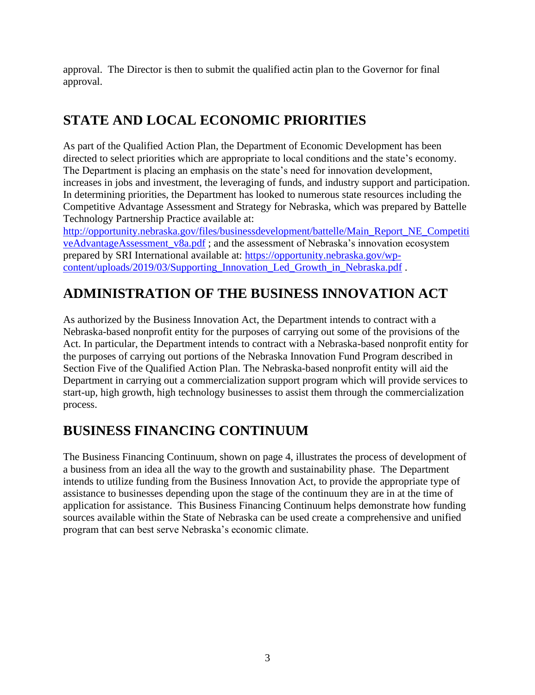approval. The Director is then to submit the qualified actin plan to the Governor for final approval.

# **STATE AND LOCAL ECONOMIC PRIORITIES**

As part of the Qualified Action Plan, the Department of Economic Development has been directed to select priorities which are appropriate to local conditions and the state's economy. The Department is placing an emphasis on the state's need for innovation development, increases in jobs and investment, the leveraging of funds, and industry support and participation. In determining priorities, the Department has looked to numerous state resources including the Competitive Advantage Assessment and Strategy for Nebraska, which was prepared by Battelle Technology Partnership Practice available at:

[http://opportunity.nebraska.gov/files/businessdevelopment/battelle/Main\\_Report\\_NE\\_Competiti](http://opportunity.nebraska.gov/files/businessdevelopment/battelle/Main_Report_NE_CompetitiveAdvantageAssessment_v8a.pdf) [veAdvantageAssessment\\_v8a.pdf](http://opportunity.nebraska.gov/files/businessdevelopment/battelle/Main_Report_NE_CompetitiveAdvantageAssessment_v8a.pdf) ; and the assessment of Nebraska's innovation ecosystem prepared by SRI International available at: [https://opportunity.nebraska.gov/wp](https://opportunity.nebraska.gov/wp-content/uploads/2019/03/Supporting_Innovation_Led_Growth_in_Nebraska.pdf)[content/uploads/2019/03/Supporting\\_Innovation\\_Led\\_Growth\\_in\\_Nebraska.pdf](https://opportunity.nebraska.gov/wp-content/uploads/2019/03/Supporting_Innovation_Led_Growth_in_Nebraska.pdf).

# **ADMINISTRATION OF THE BUSINESS INNOVATION ACT**

As authorized by the Business Innovation Act, the Department intends to contract with a Nebraska-based nonprofit entity for the purposes of carrying out some of the provisions of the Act. In particular, the Department intends to contract with a Nebraska-based nonprofit entity for the purposes of carrying out portions of the Nebraska Innovation Fund Program described in Section Five of the Qualified Action Plan. The Nebraska-based nonprofit entity will aid the Department in carrying out a commercialization support program which will provide services to start-up, high growth, high technology businesses to assist them through the commercialization process.

# **BUSINESS FINANCING CONTINUUM**

The Business Financing Continuum, shown on page 4, illustrates the process of development of a business from an idea all the way to the growth and sustainability phase. The Department intends to utilize funding from the Business Innovation Act, to provide the appropriate type of assistance to businesses depending upon the stage of the continuum they are in at the time of application for assistance. This Business Financing Continuum helps demonstrate how funding sources available within the State of Nebraska can be used create a comprehensive and unified program that can best serve Nebraska's economic climate.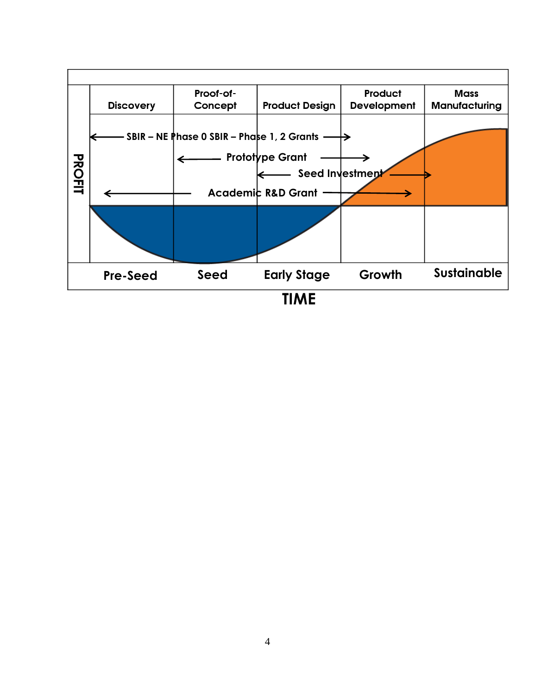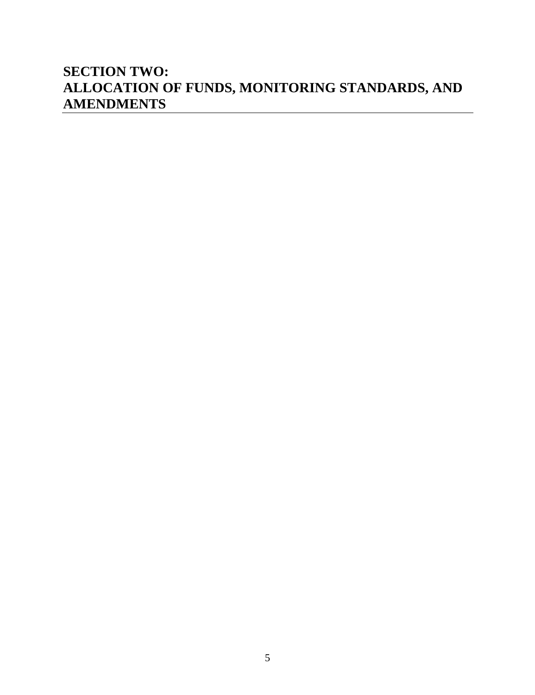#### **SECTION TWO: ALLOCATION OF FUNDS, MONITORING STANDARDS, AND AMENDMENTS**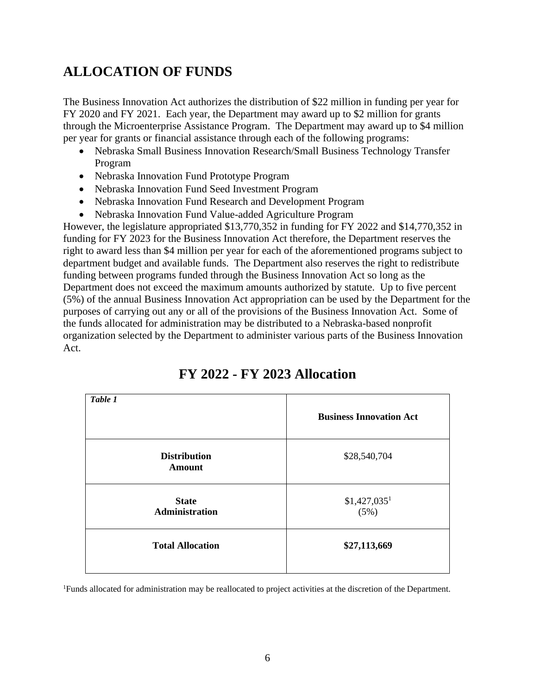#### **ALLOCATION OF FUNDS**

The Business Innovation Act authorizes the distribution of \$22 million in funding per year for FY 2020 and FY 2021. Each year, the Department may award up to \$2 million for grants through the Microenterprise Assistance Program. The Department may award up to \$4 million per year for grants or financial assistance through each of the following programs:

- Nebraska Small Business Innovation Research/Small Business Technology Transfer Program
- Nebraska Innovation Fund Prototype Program
- Nebraska Innovation Fund Seed Investment Program
- Nebraska Innovation Fund Research and Development Program
- Nebraska Innovation Fund Value-added Agriculture Program

However, the legislature appropriated \$13,770,352 in funding for FY 2022 and \$14,770,352 in funding for FY 2023 for the Business Innovation Act therefore, the Department reserves the right to award less than \$4 million per year for each of the aforementioned programs subject to department budget and available funds. The Department also reserves the right to redistribute funding between programs funded through the Business Innovation Act so long as the Department does not exceed the maximum amounts authorized by statute. Up to five percent (5%) of the annual Business Innovation Act appropriation can be used by the Department for the purposes of carrying out any or all of the provisions of the Business Innovation Act. Some of the funds allocated for administration may be distributed to a Nebraska-based nonprofit organization selected by the Department to administer various parts of the Business Innovation Act.

| Table 1                              | <b>Business Innovation Act</b>       |
|--------------------------------------|--------------------------------------|
| <b>Distribution</b><br><b>Amount</b> | \$28,540,704                         |
| <b>State</b><br>Administration       | $$1,427,035$ <sup>1</sup><br>$(5\%)$ |
| <b>Total Allocation</b>              | \$27,113,669                         |

# **FY 2022 - FY 2023 Allocation**

1Funds allocated for administration may be reallocated to project activities at the discretion of the Department.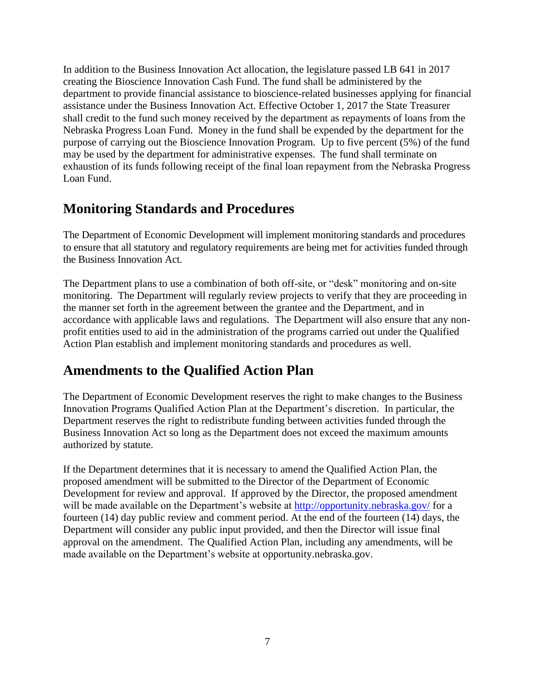In addition to the Business Innovation Act allocation, the legislature passed LB 641 in 2017 creating the Bioscience Innovation Cash Fund. The fund shall be administered by the department to provide financial assistance to bioscience-related businesses applying for financial assistance under the Business Innovation Act. Effective October 1, 2017 the State Treasurer shall credit to the fund such money received by the department as repayments of loans from the Nebraska Progress Loan Fund. Money in the fund shall be expended by the department for the purpose of carrying out the Bioscience Innovation Program. Up to five percent (5%) of the fund may be used by the department for administrative expenses. The fund shall terminate on exhaustion of its funds following receipt of the final loan repayment from the Nebraska Progress Loan Fund.

#### **Monitoring Standards and Procedures**

The Department of Economic Development will implement monitoring standards and procedures to ensure that all statutory and regulatory requirements are being met for activities funded through the Business Innovation Act.

The Department plans to use a combination of both off-site, or "desk" monitoring and on-site monitoring. The Department will regularly review projects to verify that they are proceeding in the manner set forth in the agreement between the grantee and the Department, and in accordance with applicable laws and regulations. The Department will also ensure that any nonprofit entities used to aid in the administration of the programs carried out under the Qualified Action Plan establish and implement monitoring standards and procedures as well.

#### **Amendments to the Qualified Action Plan**

The Department of Economic Development reserves the right to make changes to the Business Innovation Programs Qualified Action Plan at the Department's discretion. In particular, the Department reserves the right to redistribute funding between activities funded through the Business Innovation Act so long as the Department does not exceed the maximum amounts authorized by statute.

If the Department determines that it is necessary to amend the Qualified Action Plan, the proposed amendment will be submitted to the Director of the Department of Economic Development for review and approval. If approved by the Director, the proposed amendment will be made available on the Department's website at<http://opportunity.nebraska.gov/> for a fourteen (14) day public review and comment period. At the end of the fourteen (14) days, the Department will consider any public input provided, and then the Director will issue final approval on the amendment. The Qualified Action Plan, including any amendments, will be made available on the Department's website at opportunity.nebraska.gov.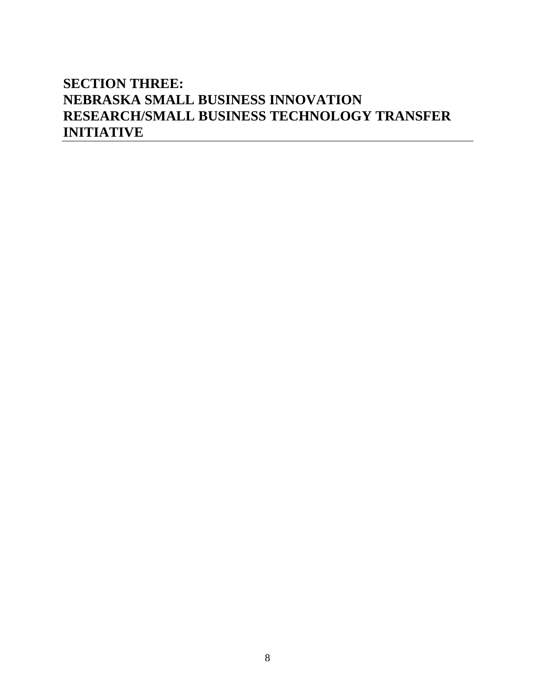#### **SECTION THREE: NEBRASKA SMALL BUSINESS INNOVATION RESEARCH/SMALL BUSINESS TECHNOLOGY TRANSFER INITIATIVE**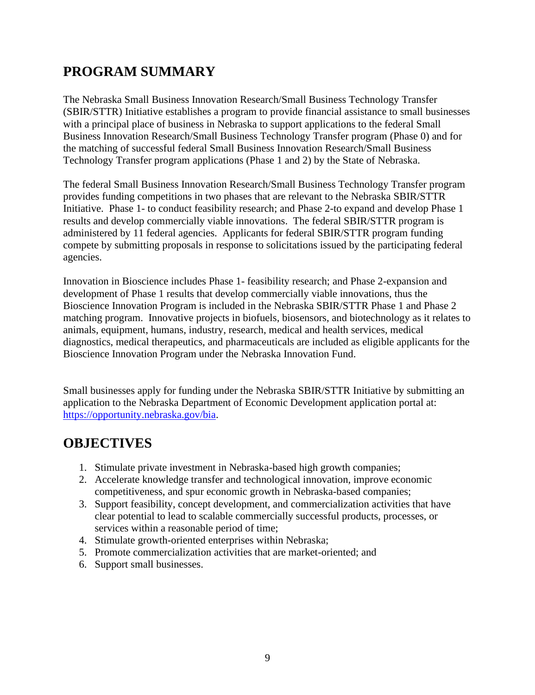#### **PROGRAM SUMMARY**

The Nebraska Small Business Innovation Research/Small Business Technology Transfer (SBIR/STTR) Initiative establishes a program to provide financial assistance to small businesses with a principal place of business in Nebraska to support applications to the federal Small Business Innovation Research/Small Business Technology Transfer program (Phase 0) and for the matching of successful federal Small Business Innovation Research/Small Business Technology Transfer program applications (Phase 1 and 2) by the State of Nebraska.

The federal Small Business Innovation Research/Small Business Technology Transfer program provides funding competitions in two phases that are relevant to the Nebraska SBIR/STTR Initiative. Phase 1- to conduct feasibility research; and Phase 2-to expand and develop Phase 1 results and develop commercially viable innovations. The federal SBIR/STTR program is administered by 11 federal agencies. Applicants for federal SBIR/STTR program funding compete by submitting proposals in response to solicitations issued by the participating federal agencies.

Innovation in Bioscience includes Phase 1- feasibility research; and Phase 2-expansion and development of Phase 1 results that develop commercially viable innovations, thus the Bioscience Innovation Program is included in the Nebraska SBIR/STTR Phase 1 and Phase 2 matching program. Innovative projects in biofuels, biosensors, and biotechnology as it relates to animals, equipment, humans, industry, research, medical and health services, medical diagnostics, medical therapeutics, and pharmaceuticals are included as eligible applicants for the Bioscience Innovation Program under the Nebraska Innovation Fund.

Small businesses apply for funding under the Nebraska SBIR/STTR Initiative by submitting an application to the Nebraska Department of Economic Development application portal at: [https://opportunity.nebraska.gov/bia.](https://opportunity.nebraska.gov/bia)

#### **OBJECTIVES**

- 1. Stimulate private investment in Nebraska-based high growth companies;
- 2. Accelerate knowledge transfer and technological innovation, improve economic competitiveness, and spur economic growth in Nebraska-based companies;
- 3. Support feasibility, concept development, and commercialization activities that have clear potential to lead to scalable commercially successful products, processes, or services within a reasonable period of time;
- 4. Stimulate growth-oriented enterprises within Nebraska;
- 5. Promote commercialization activities that are market-oriented; and
- 6. Support small businesses.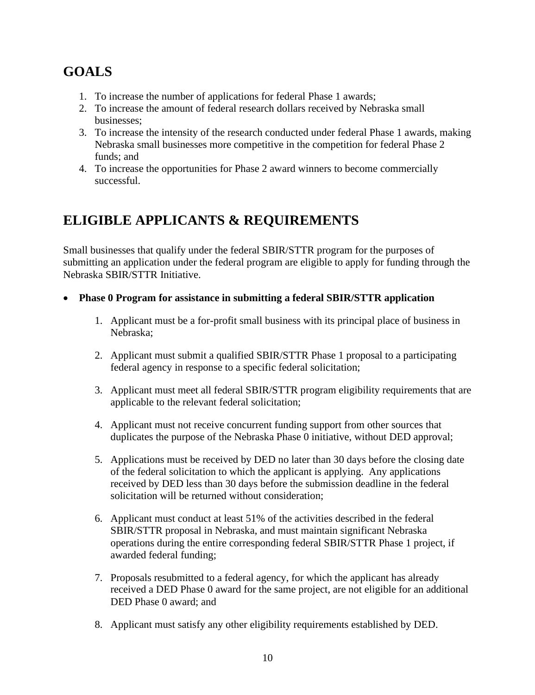# **GOALS**

- 1. To increase the number of applications for federal Phase 1 awards;
- 2. To increase the amount of federal research dollars received by Nebraska small businesses;
- 3. To increase the intensity of the research conducted under federal Phase 1 awards, making Nebraska small businesses more competitive in the competition for federal Phase 2 funds; and
- 4. To increase the opportunities for Phase 2 award winners to become commercially successful.

# **ELIGIBLE APPLICANTS & REQUIREMENTS**

Small businesses that qualify under the federal SBIR/STTR program for the purposes of submitting an application under the federal program are eligible to apply for funding through the Nebraska SBIR/STTR Initiative.

- **Phase 0 Program for assistance in submitting a federal SBIR/STTR application**
	- 1. Applicant must be a for-profit small business with its principal place of business in Nebraska;
	- 2. Applicant must submit a qualified SBIR/STTR Phase 1 proposal to a participating federal agency in response to a specific federal solicitation;
	- 3. Applicant must meet all federal SBIR/STTR program eligibility requirements that are applicable to the relevant federal solicitation;
	- 4. Applicant must not receive concurrent funding support from other sources that duplicates the purpose of the Nebraska Phase 0 initiative, without DED approval;
	- 5. Applications must be received by DED no later than 30 days before the closing date of the federal solicitation to which the applicant is applying. Any applications received by DED less than 30 days before the submission deadline in the federal solicitation will be returned without consideration;
	- 6. Applicant must conduct at least 51% of the activities described in the federal SBIR/STTR proposal in Nebraska, and must maintain significant Nebraska operations during the entire corresponding federal SBIR/STTR Phase 1 project, if awarded federal funding;
	- 7. Proposals resubmitted to a federal agency, for which the applicant has already received a DED Phase 0 award for the same project, are not eligible for an additional DED Phase 0 award; and
	- 8. Applicant must satisfy any other eligibility requirements established by DED.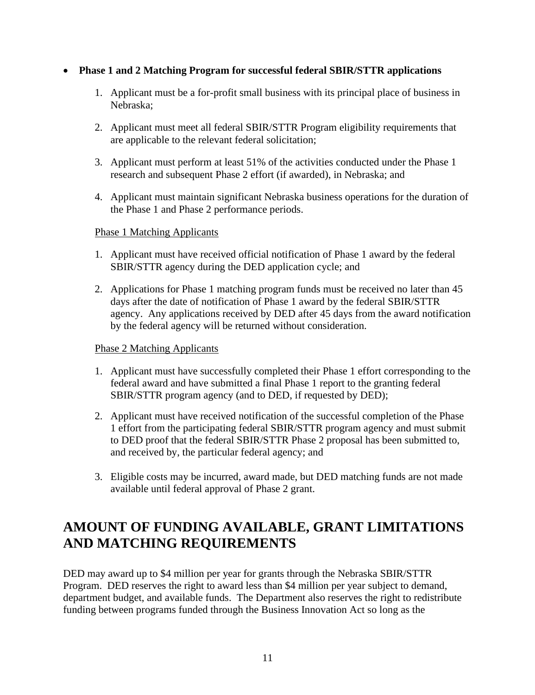#### • **Phase 1 and 2 Matching Program for successful federal SBIR/STTR applications**

- 1. Applicant must be a for-profit small business with its principal place of business in Nebraska;
- 2. Applicant must meet all federal SBIR/STTR Program eligibility requirements that are applicable to the relevant federal solicitation;
- 3. Applicant must perform at least 51% of the activities conducted under the Phase 1 research and subsequent Phase 2 effort (if awarded), in Nebraska; and
- 4. Applicant must maintain significant Nebraska business operations for the duration of the Phase 1 and Phase 2 performance periods.

#### Phase 1 Matching Applicants

- 1. Applicant must have received official notification of Phase 1 award by the federal SBIR/STTR agency during the DED application cycle; and
- 2. Applications for Phase 1 matching program funds must be received no later than 45 days after the date of notification of Phase 1 award by the federal SBIR/STTR agency. Any applications received by DED after 45 days from the award notification by the federal agency will be returned without consideration.

#### Phase 2 Matching Applicants

- 1. Applicant must have successfully completed their Phase 1 effort corresponding to the federal award and have submitted a final Phase 1 report to the granting federal SBIR/STTR program agency (and to DED, if requested by DED);
- 2. Applicant must have received notification of the successful completion of the Phase 1 effort from the participating federal SBIR/STTR program agency and must submit to DED proof that the federal SBIR/STTR Phase 2 proposal has been submitted to, and received by, the particular federal agency; and
- 3. Eligible costs may be incurred, award made, but DED matching funds are not made available until federal approval of Phase 2 grant.

#### **AMOUNT OF FUNDING AVAILABLE, GRANT LIMITATIONS AND MATCHING REQUIREMENTS**

DED may award up to \$4 million per year for grants through the Nebraska SBIR/STTR Program. DED reserves the right to award less than \$4 million per year subject to demand, department budget, and available funds. The Department also reserves the right to redistribute funding between programs funded through the Business Innovation Act so long as the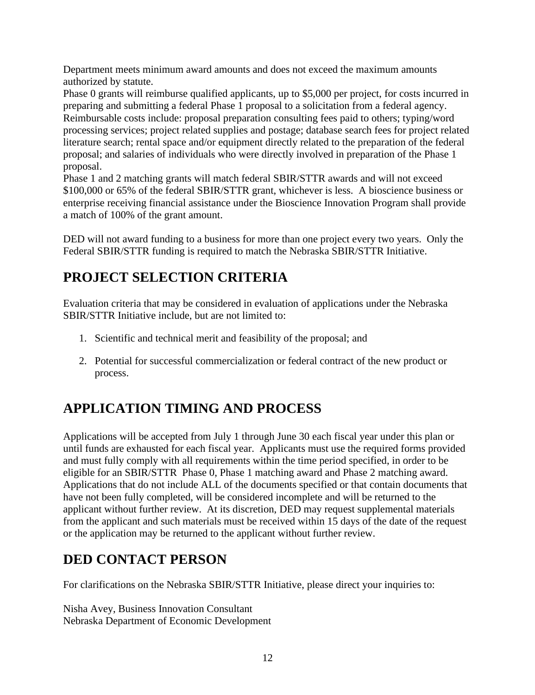Department meets minimum award amounts and does not exceed the maximum amounts authorized by statute.

Phase 0 grants will reimburse qualified applicants, up to \$5,000 per project, for costs incurred in preparing and submitting a federal Phase 1 proposal to a solicitation from a federal agency. Reimbursable costs include: proposal preparation consulting fees paid to others; typing/word processing services; project related supplies and postage; database search fees for project related literature search; rental space and/or equipment directly related to the preparation of the federal proposal; and salaries of individuals who were directly involved in preparation of the Phase 1 proposal.

Phase 1 and 2 matching grants will match federal SBIR/STTR awards and will not exceed \$100,000 or 65% of the federal SBIR/STTR grant, whichever is less. A bioscience business or enterprise receiving financial assistance under the Bioscience Innovation Program shall provide a match of 100% of the grant amount.

DED will not award funding to a business for more than one project every two years. Only the Federal SBIR/STTR funding is required to match the Nebraska SBIR/STTR Initiative.

#### **PROJECT SELECTION CRITERIA**

Evaluation criteria that may be considered in evaluation of applications under the Nebraska SBIR/STTR Initiative include, but are not limited to:

- 1. Scientific and technical merit and feasibility of the proposal; and
- 2. Potential for successful commercialization or federal contract of the new product or process.

# **APPLICATION TIMING AND PROCESS**

Applications will be accepted from July 1 through June 30 each fiscal year under this plan or until funds are exhausted for each fiscal year. Applicants must use the required forms provided and must fully comply with all requirements within the time period specified, in order to be eligible for an SBIR/STTR Phase 0, Phase 1 matching award and Phase 2 matching award. Applications that do not include ALL of the documents specified or that contain documents that have not been fully completed, will be considered incomplete and will be returned to the applicant without further review. At its discretion, DED may request supplemental materials from the applicant and such materials must be received within 15 days of the date of the request or the application may be returned to the applicant without further review.

#### **DED CONTACT PERSON**

For clarifications on the Nebraska SBIR/STTR Initiative, please direct your inquiries to:

Nisha Avey, Business Innovation Consultant Nebraska Department of Economic Development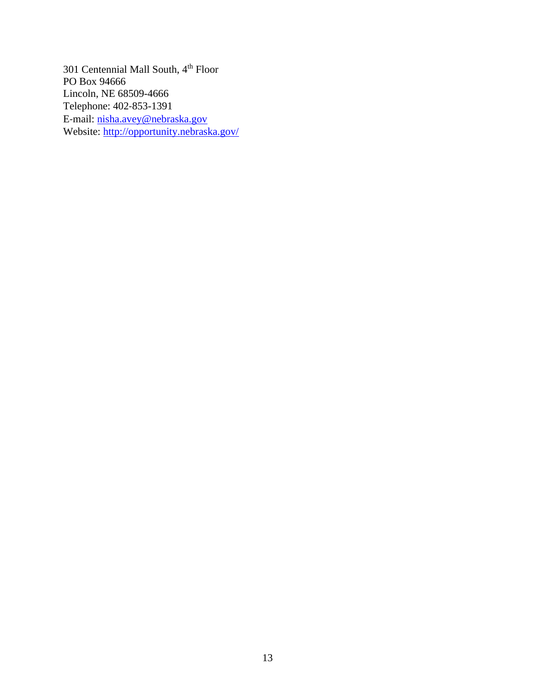301 Centennial Mall South, 4th Floor PO Box 94666 Lincoln, NE 68509-4666 Telephone: 402‐853-1391 E‐mail: [nisha.avey@nebraska.gov](mailto:nisha.avey@nebraska.gov) Website:<http://opportunity.nebraska.gov/>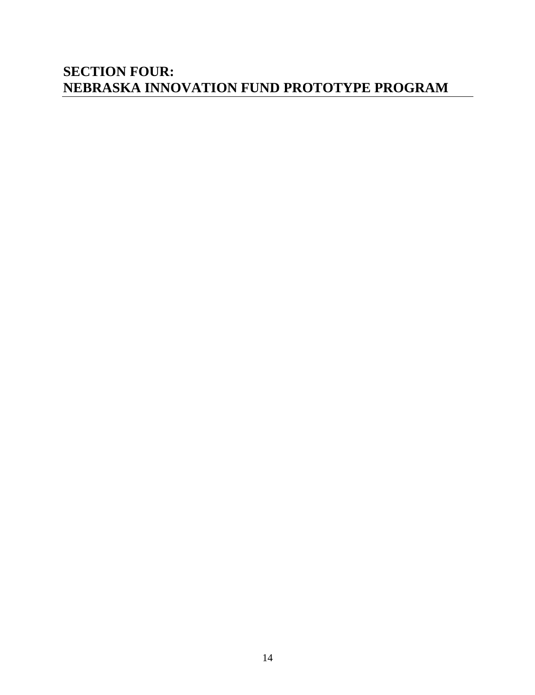#### **SECTION FOUR: NEBRASKA INNOVATION FUND PROTOTYPE PROGRAM**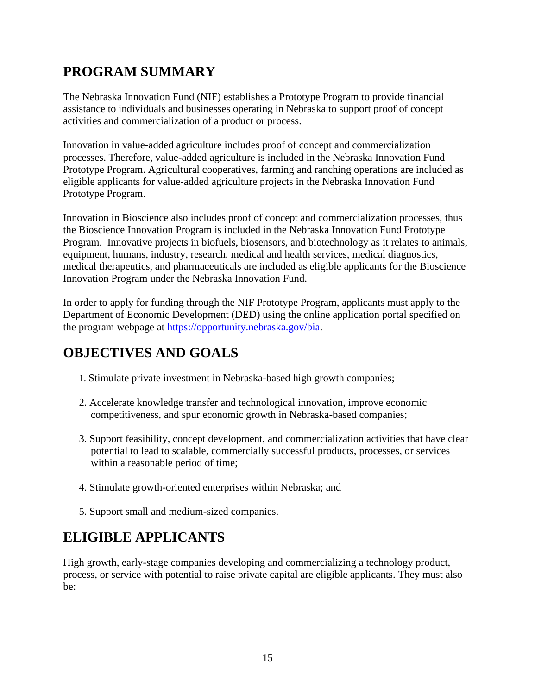# **PROGRAM SUMMARY**

The Nebraska Innovation Fund (NIF) establishes a Prototype Program to provide financial assistance to individuals and businesses operating in Nebraska to support proof of concept activities and commercialization of a product or process.

Innovation in value-added agriculture includes proof of concept and commercialization processes. Therefore, value-added agriculture is included in the Nebraska Innovation Fund Prototype Program. Agricultural cooperatives, farming and ranching operations are included as eligible applicants for value-added agriculture projects in the Nebraska Innovation Fund Prototype Program.

Innovation in Bioscience also includes proof of concept and commercialization processes, thus the Bioscience Innovation Program is included in the Nebraska Innovation Fund Prototype Program. Innovative projects in biofuels, biosensors, and biotechnology as it relates to animals, equipment, humans, industry, research, medical and health services, medical diagnostics, medical therapeutics, and pharmaceuticals are included as eligible applicants for the Bioscience Innovation Program under the Nebraska Innovation Fund.

In order to apply for funding through the NIF Prototype Program, applicants must apply to the Department of Economic Development (DED) using the online application portal specified on the program webpage at [https://opportunity.nebraska.gov/bia.](https://opportunity.nebraska.gov/bia)

#### **OBJECTIVES AND GOALS**

- 1. Stimulate private investment in Nebraska-based high growth companies;
- 2. Accelerate knowledge transfer and technological innovation, improve economic competitiveness, and spur economic growth in Nebraska-based companies;
- 3. Support feasibility, concept development, and commercialization activities that have clear potential to lead to scalable, commercially successful products, processes, or services within a reasonable period of time;
- 4. Stimulate growth-oriented enterprises within Nebraska; and
- 5. Support small and medium-sized companies.

#### **ELIGIBLE APPLICANTS**

High growth, early-stage companies developing and commercializing a technology product, process, or service with potential to raise private capital are eligible applicants. They must also be: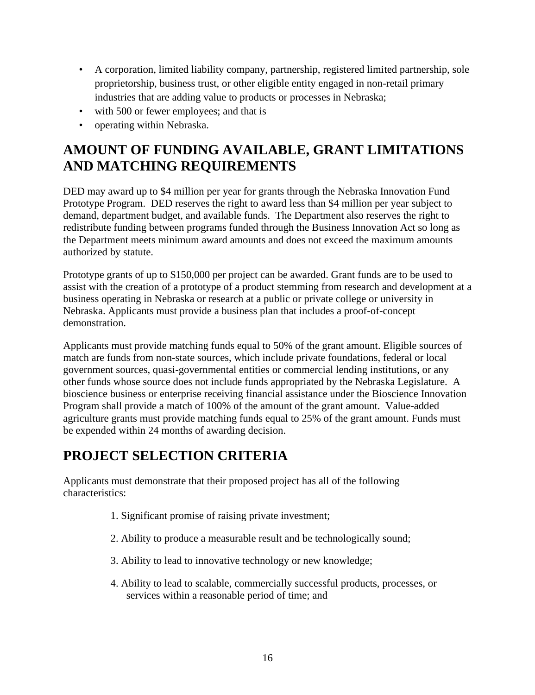- A corporation, limited liability company, partnership, registered limited partnership, sole proprietorship, business trust, or other eligible entity engaged in non-retail primary industries that are adding value to products or processes in Nebraska;
- with 500 or fewer employees; and that is
- operating within Nebraska.

#### **AMOUNT OF FUNDING AVAILABLE, GRANT LIMITATIONS AND MATCHING REQUIREMENTS**

DED may award up to \$4 million per year for grants through the Nebraska Innovation Fund Prototype Program. DED reserves the right to award less than \$4 million per year subject to demand, department budget, and available funds. The Department also reserves the right to redistribute funding between programs funded through the Business Innovation Act so long as the Department meets minimum award amounts and does not exceed the maximum amounts authorized by statute.

Prototype grants of up to \$150,000 per project can be awarded. Grant funds are to be used to assist with the creation of a prototype of a product stemming from research and development at a business operating in Nebraska or research at a public or private college or university in Nebraska. Applicants must provide a business plan that includes a proof-of-concept demonstration.

Applicants must provide matching funds equal to 50% of the grant amount. Eligible sources of match are funds from non-state sources, which include private foundations, federal or local government sources, quasi-governmental entities or commercial lending institutions, or any other funds whose source does not include funds appropriated by the Nebraska Legislature. A bioscience business or enterprise receiving financial assistance under the Bioscience Innovation Program shall provide a match of 100% of the amount of the grant amount. Value-added agriculture grants must provide matching funds equal to 25% of the grant amount. Funds must be expended within 24 months of awarding decision.

#### **PROJECT SELECTION CRITERIA**

Applicants must demonstrate that their proposed project has all of the following characteristics:

- 1. Significant promise of raising private investment;
- 2. Ability to produce a measurable result and be technologically sound;
- 3. Ability to lead to innovative technology or new knowledge;
- 4. Ability to lead to scalable, commercially successful products, processes, or services within a reasonable period of time; and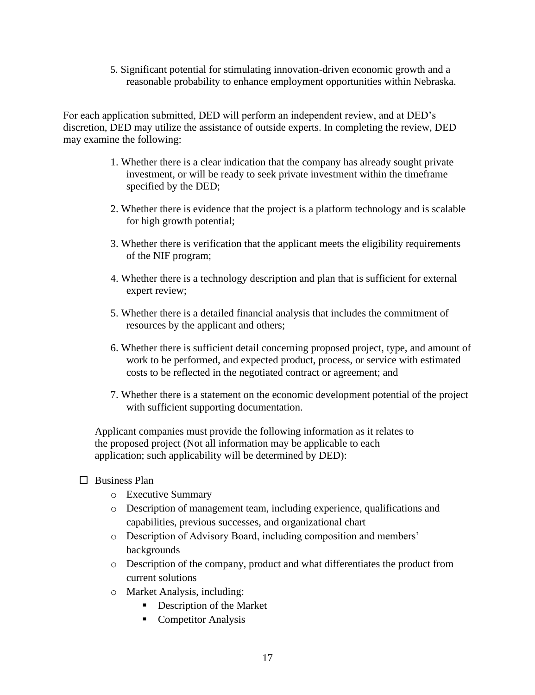5. Significant potential for stimulating innovation-driven economic growth and a reasonable probability to enhance employment opportunities within Nebraska.

For each application submitted, DED will perform an independent review, and at DED's discretion, DED may utilize the assistance of outside experts. In completing the review, DED may examine the following:

- 1. Whether there is a clear indication that the company has already sought private investment, or will be ready to seek private investment within the timeframe specified by the DED;
- 2. Whether there is evidence that the project is a platform technology and is scalable for high growth potential;
- 3. Whether there is verification that the applicant meets the eligibility requirements of the NIF program;
- 4. Whether there is a technology description and plan that is sufficient for external expert review;
- 5. Whether there is a detailed financial analysis that includes the commitment of resources by the applicant and others;
- 6. Whether there is sufficient detail concerning proposed project, type, and amount of work to be performed, and expected product, process, or service with estimated costs to be reflected in the negotiated contract or agreement; and
- 7. Whether there is a statement on the economic development potential of the project with sufficient supporting documentation.

Applicant companies must provide the following information as it relates to the proposed project (Not all information may be applicable to each application; such applicability will be determined by DED):

- $\Box$  Business Plan
	- o Executive Summary
	- o Description of management team, including experience, qualifications and capabilities, previous successes, and organizational chart
	- o Description of Advisory Board, including composition and members' backgrounds
	- o Description of the company, product and what differentiates the product from current solutions
	- o Market Analysis, including:
		- Description of the Market
		- Competitor Analysis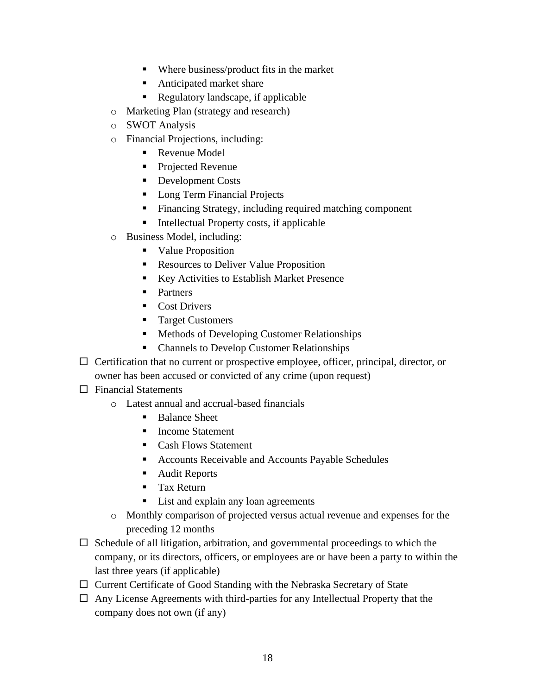- Where business/product fits in the market
- Anticipated market share
- Regulatory landscape, if applicable
- o Marketing Plan (strategy and research)
- o SWOT Analysis
- o Financial Projections, including:
	- Revenue Model
	- Projected Revenue
	- Development Costs
	- Long Term Financial Projects
	- Financing Strategy, including required matching component
	- Intellectual Property costs, if applicable
- o Business Model, including:
	- Value Proposition
	- Resources to Deliver Value Proposition
	- Key Activities to Establish Market Presence
	- Partners
	- Cost Drivers
	- Target Customers
	- Methods of Developing Customer Relationships
	- Channels to Develop Customer Relationships
- $\Box$  Certification that no current or prospective employee, officer, principal, director, or owner has been accused or convicted of any crime (upon request)
- $\Box$  Financial Statements
	- o Latest annual and accrual-based financials
		- Balance Sheet
		- Income Statement
		- Cash Flows Statement
		- Accounts Receivable and Accounts Payable Schedules
		- Audit Reports
		- Tax Return
		- List and explain any loan agreements
	- o Monthly comparison of projected versus actual revenue and expenses for the preceding 12 months
- $\Box$  Schedule of all litigation, arbitration, and governmental proceedings to which the company, or its directors, officers, or employees are or have been a party to within the last three years (if applicable)
- $\Box$  Current Certificate of Good Standing with the Nebraska Secretary of State
- $\Box$  Any License Agreements with third-parties for any Intellectual Property that the company does not own (if any)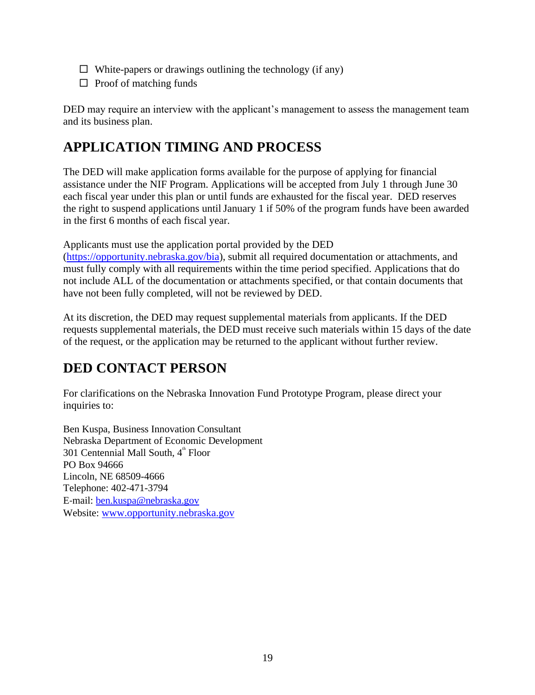- $\Box$  White-papers or drawings outlining the technology (if any)
- $\Box$  Proof of matching funds

DED may require an interview with the applicant's management to assess the management team and its business plan.

#### **APPLICATION TIMING AND PROCESS**

The DED will make application forms available for the purpose of applying for financial assistance under the NIF Program. Applications will be accepted from July 1 through June 30 each fiscal year under this plan or until funds are exhausted for the fiscal year. DED reserves the right to suspend applications untilJanuary 1 if 50% of the program funds have been awarded in the first 6 months of each fiscal year.

Applicants must use the application portal provided by the DED

[\(https://opportunity.nebraska.gov/bia\)](https://opportunity.nebraska.gov/bia), submit all required documentation or attachments, and must fully comply with all requirements within the time period specified. Applications that do not include ALL of the documentation or attachments specified, or that contain documents that have not been fully completed, will not be reviewed by DED.

At its discretion, the DED may request supplemental materials from applicants. If the DED requests supplemental materials, the DED must receive such materials within 15 days of the date of the request, or the application may be returned to the applicant without further review.

# **DED CONTACT PERSON**

For clarifications on the Nebraska Innovation Fund Prototype Program, please direct your inquiries to:

Ben Kuspa, Business Innovation Consultant Nebraska Department of Economic Development  $301$  Centennial Mall South,  $4<sup>th</sup>$  Floor PO Box 94666 Lincoln, NE 68509-4666 Telephone: 402‐471-3794 E‐mail: [ben.kuspa@nebraska.gov](mailto:ben.kuspa@nebraska.gov) Website: [www.opportunity.nebraska.gov](http://www.opportunity.nebraska.gov/)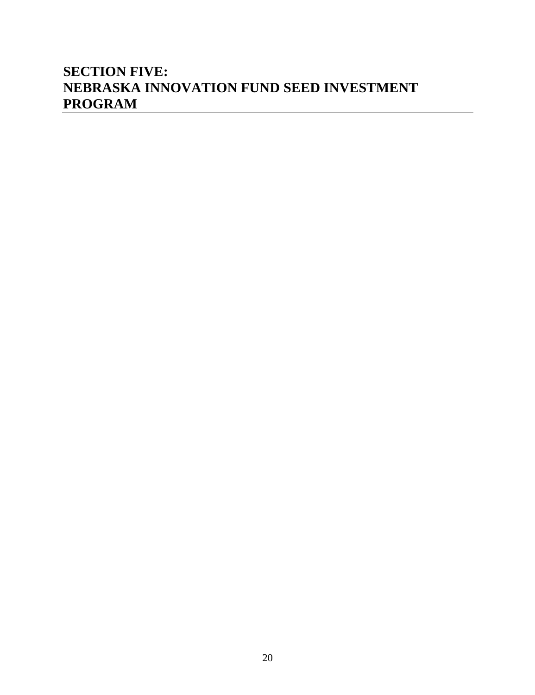#### **SECTION FIVE: NEBRASKA INNOVATION FUND SEED INVESTMENT PROGRAM**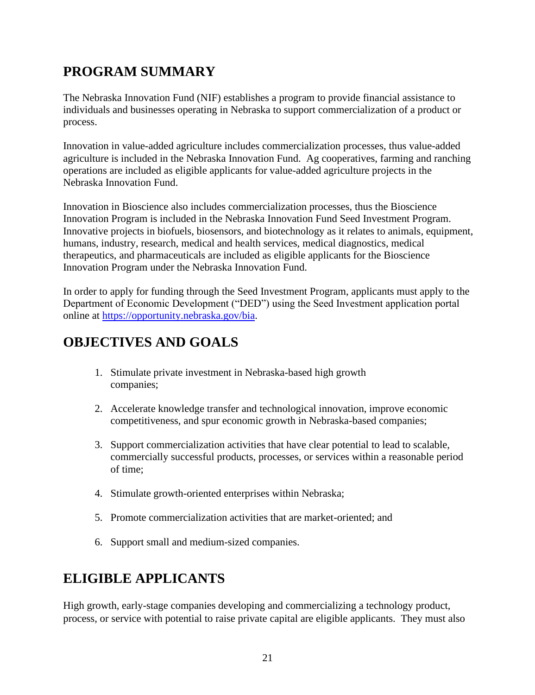# **PROGRAM SUMMARY**

The Nebraska Innovation Fund (NIF) establishes a program to provide financial assistance to individuals and businesses operating in Nebraska to support commercialization of a product or process.

Innovation in value-added agriculture includes commercialization processes, thus value-added agriculture is included in the Nebraska Innovation Fund. Ag cooperatives, farming and ranching operations are included as eligible applicants for value-added agriculture projects in the Nebraska Innovation Fund.

Innovation in Bioscience also includes commercialization processes, thus the Bioscience Innovation Program is included in the Nebraska Innovation Fund Seed Investment Program. Innovative projects in biofuels, biosensors, and biotechnology as it relates to animals, equipment, humans, industry, research, medical and health services, medical diagnostics, medical therapeutics, and pharmaceuticals are included as eligible applicants for the Bioscience Innovation Program under the Nebraska Innovation Fund.

In order to apply for funding through the Seed Investment Program, applicants must apply to the Department of Economic Development ("DED") using the Seed Investment application portal online at [https://opportunity.nebraska.gov/bia.](https://opportunity.nebraska.gov/bia)

# **OBJECTIVES AND GOALS**

- 1. Stimulate private investment in Nebraska-based high growth companies;
- 2. Accelerate knowledge transfer and technological innovation, improve economic competitiveness, and spur economic growth in Nebraska-based companies;
- 3. Support commercialization activities that have clear potential to lead to scalable, commercially successful products, processes, or services within a reasonable period of time;
- 4. Stimulate growth-oriented enterprises within Nebraska;
- 5. Promote commercialization activities that are market-oriented; and
- 6. Support small and medium-sized companies.

# **ELIGIBLE APPLICANTS**

High growth, early-stage companies developing and commercializing a technology product, process, or service with potential to raise private capital are eligible applicants. They must also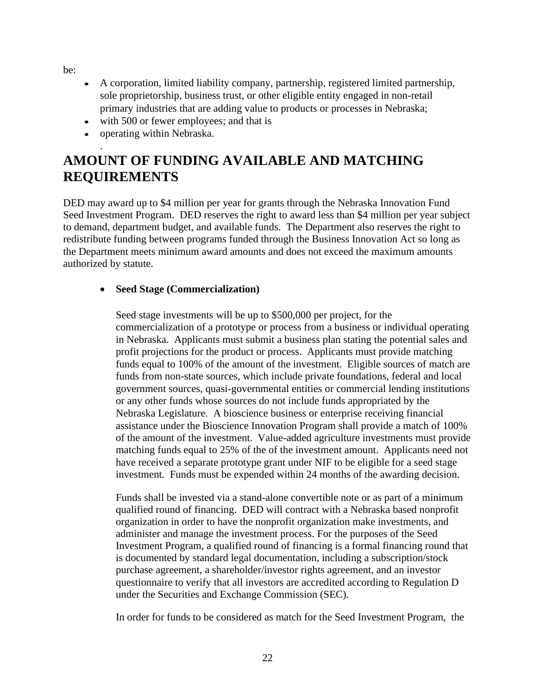be:

- A corporation, limited liability company, partnership, registered limited partnership, sole proprietorship, business trust, or other eligible entity engaged in non-retail primary industries that are adding value to products or processes in Nebraska;
- with 500 or fewer employees; and that is
- operating within Nebraska.

#### . **AMOUNT OF FUNDING AVAILABLE AND MATCHING REQUIREMENTS**

DED may award up to \$4 million per year for grants through the Nebraska Innovation Fund Seed Investment Program. DED reserves the right to award less than \$4 million per year subject to demand, department budget, and available funds. The Department also reserves the right to redistribute funding between programs funded through the Business Innovation Act so long as the Department meets minimum award amounts and does not exceed the maximum amounts authorized by statute.

#### • **Seed Stage (Commercialization)**

Seed stage investments will be up to \$500,000 per project, for the commercialization of a prototype or process from a business or individual operating in Nebraska. Applicants must submit a business plan stating the potential sales and profit projections for the product or process. Applicants must provide matching funds equal to 100% of the amount of the investment. Eligible sources of match are funds from non-state sources, which include private foundations, federal and local government sources, quasi-governmental entities or commercial lending institutions or any other funds whose sources do not include funds appropriated by the Nebraska Legislature. A bioscience business or enterprise receiving financial assistance under the Bioscience Innovation Program shall provide a match of 100% of the amount of the investment. Value-added agriculture investments must provide matching funds equal to 25% of the of the investment amount. Applicants need not have received a separate prototype grant under NIF to be eligible for a seed stage investment. Funds must be expended within 24 months of the awarding decision.

Funds shall be invested via a stand-alone convertible note or as part of a minimum qualified round of financing. DED will contract with a Nebraska based nonprofit organization in order to have the nonprofit organization make investments, and administer and manage the investment process. For the purposes of the Seed Investment Program, a qualified round of financing is a formal financing round that is documented by standard legal documentation, including a subscription/stock purchase agreement, a shareholder/investor rights agreement, and an investor questionnaire to verify that all investors are accredited according to Regulation D under the Securities and Exchange Commission (SEC).

In order for funds to be considered as match for the Seed Investment Program, the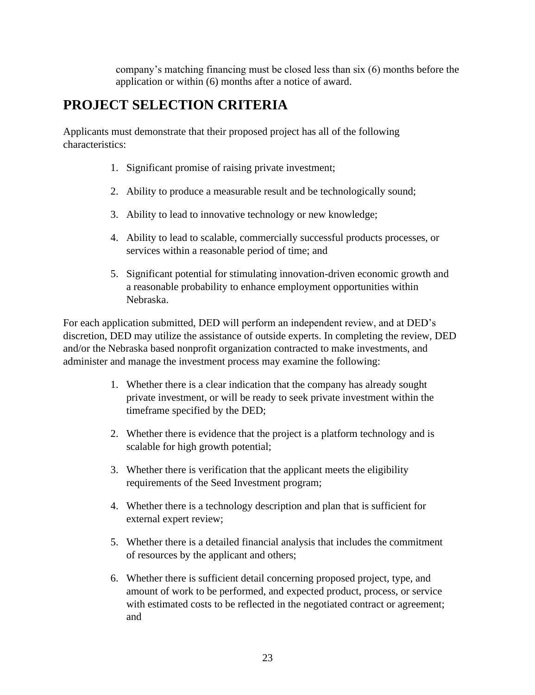company's matching financing must be closed less than six (6) months before the application or within (6) months after a notice of award.

## **PROJECT SELECTION CRITERIA**

Applicants must demonstrate that their proposed project has all of the following characteristics:

- 1. Significant promise of raising private investment;
- 2. Ability to produce a measurable result and be technologically sound;
- 3. Ability to lead to innovative technology or new knowledge;
- 4. Ability to lead to scalable, commercially successful products processes, or services within a reasonable period of time; and
- 5. Significant potential for stimulating innovation-driven economic growth and a reasonable probability to enhance employment opportunities within Nebraska.

For each application submitted, DED will perform an independent review, and at DED's discretion, DED may utilize the assistance of outside experts. In completing the review, DED and/or the Nebraska based nonprofit organization contracted to make investments, and administer and manage the investment process may examine the following:

- 1. Whether there is a clear indication that the company has already sought private investment, or will be ready to seek private investment within the timeframe specified by the DED;
- 2. Whether there is evidence that the project is a platform technology and is scalable for high growth potential;
- 3. Whether there is verification that the applicant meets the eligibility requirements of the Seed Investment program;
- 4. Whether there is a technology description and plan that is sufficient for external expert review;
- 5. Whether there is a detailed financial analysis that includes the commitment of resources by the applicant and others;
- 6. Whether there is sufficient detail concerning proposed project, type, and amount of work to be performed, and expected product, process, or service with estimated costs to be reflected in the negotiated contract or agreement; and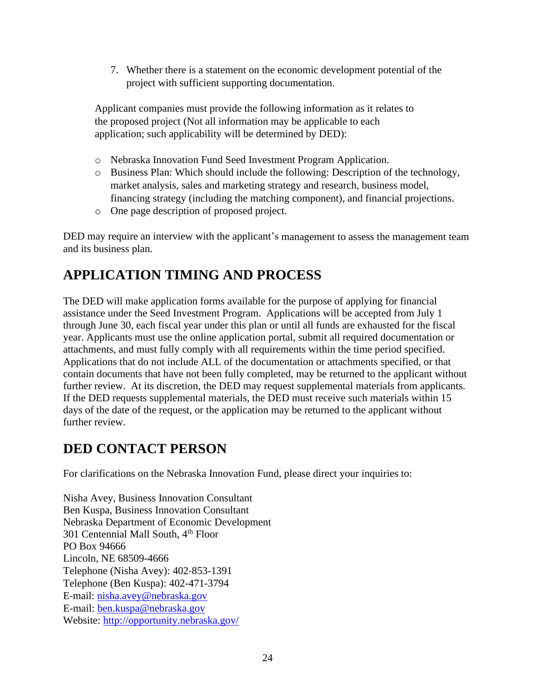7. Whether there is a statement on the economic development potential of the project with sufficient supporting documentation.

Applicant companies must provide the following information as it relates to the proposed project (Not all information may be applicable to each application; such applicability will be determined by DED):

- o Nebraska Innovation Fund Seed Investment Program Application.
- o Business Plan: Which should include the following: Description of the technology, market analysis, sales and marketing strategy and research, business model, financing strategy (including the matching component), and financial projections.
- o One page description of proposed project.

DED may require an interview with the applicant's management to assess the management team and its business plan.

#### **APPLICATION TIMING AND PROCESS**

The DED will make application forms available for the purpose of applying for financial assistance under the Seed Investment Program. Applications will be accepted from July 1 through June 30, each fiscal year under this plan or until all funds are exhausted for the fiscal year. Applicants must use the online application portal, submit all required documentation or attachments, and must fully comply with all requirements within the time period specified. Applications that do not include ALL of the documentation or attachments specified, or that contain documents that have not been fully completed, may be returned to the applicant without further review. At its discretion, the DED may request supplemental materials from applicants. If the DED requests supplemental materials, the DED must receive such materials within 15 days of the date of the request, or the application may be returned to the applicant without further review

#### **DED CONTACT PERSON**

For clarifications on the Nebraska Innovation Fund, please direct your inquiries to:

Nisha Avey, Business Innovation Consultant Ben Kuspa, Business Innovation Consultant Nebraska Department of Economic Development 301 Centennial Mall South, 4th Floor PO Box 94666 Lincoln, NE 68509-4666 Telephone (Nisha Avey): 402‐853-1391 Telephone (Ben Kuspa): 402-471-3794 E‐mail: [nisha.avey@nebraska.gov](mailto:nisha.avey@nebraska.gov) E-mail: [ben.kuspa@nebraska.gov](mailto:ben.kuspa@nebraska.gov) Website:<http://opportunity.nebraska.gov/>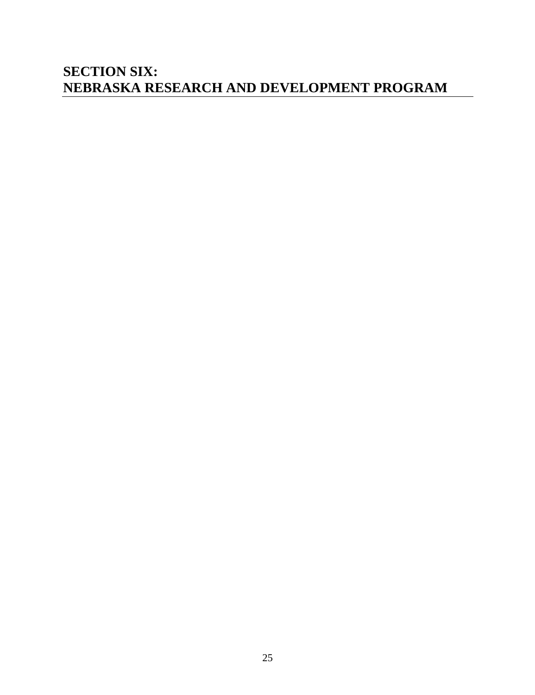#### **SECTION SIX: NEBRASKA RESEARCH AND DEVELOPMENT PROGRAM**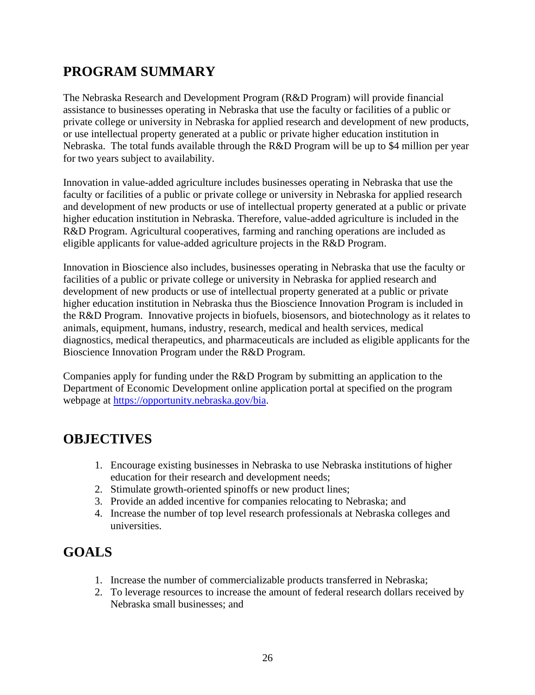## **PROGRAM SUMMARY**

The Nebraska Research and Development Program (R&D Program) will provide financial assistance to businesses operating in Nebraska that use the faculty or facilities of a public or private college or university in Nebraska for applied research and development of new products, or use intellectual property generated at a public or private higher education institution in Nebraska. The total funds available through the R&D Program will be up to \$4 million per year for two years subject to availability.

Innovation in value-added agriculture includes businesses operating in Nebraska that use the faculty or facilities of a public or private college or university in Nebraska for applied research and development of new products or use of intellectual property generated at a public or private higher education institution in Nebraska. Therefore, value-added agriculture is included in the R&D Program. Agricultural cooperatives, farming and ranching operations are included as eligible applicants for value-added agriculture projects in the R&D Program.

Innovation in Bioscience also includes, businesses operating in Nebraska that use the faculty or facilities of a public or private college or university in Nebraska for applied research and development of new products or use of intellectual property generated at a public or private higher education institution in Nebraska thus the Bioscience Innovation Program is included in the R&D Program. Innovative projects in biofuels, biosensors, and biotechnology as it relates to animals, equipment, humans, industry, research, medical and health services, medical diagnostics, medical therapeutics, and pharmaceuticals are included as eligible applicants for the Bioscience Innovation Program under the R&D Program.

Companies apply for funding under the R&D Program by submitting an application to the Department of Economic Development online application portal at specified on the program webpage at [https://opportunity.nebraska.gov/bia.](https://opportunity.nebraska.gov/bia)

#### **OBJECTIVES**

- 1. Encourage existing businesses in Nebraska to use Nebraska institutions of higher education for their research and development needs;
- 2. Stimulate growth-oriented spinoffs or new product lines;
- 3. Provide an added incentive for companies relocating to Nebraska; and
- 4. Increase the number of top level research professionals at Nebraska colleges and universities.

#### **GOALS**

- 1. Increase the number of commercializable products transferred in Nebraska;
- 2. To leverage resources to increase the amount of federal research dollars received by Nebraska small businesses; and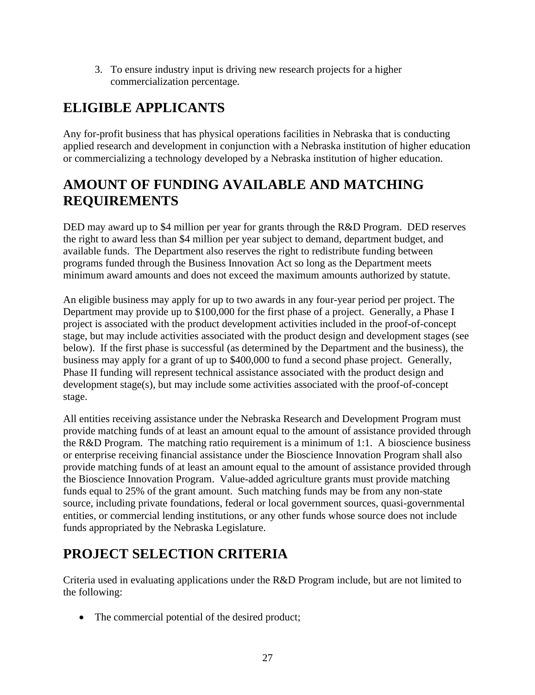3. To ensure industry input is driving new research projects for a higher commercialization percentage.

# **ELIGIBLE APPLICANTS**

Any for-profit business that has physical operations facilities in Nebraska that is conducting applied research and development in conjunction with a Nebraska institution of higher education or commercializing a technology developed by a Nebraska institution of higher education.

#### **AMOUNT OF FUNDING AVAILABLE AND MATCHING REQUIREMENTS**

DED may award up to \$4 million per year for grants through the R&D Program. DED reserves the right to award less than \$4 million per year subject to demand, department budget, and available funds. The Department also reserves the right to redistribute funding between programs funded through the Business Innovation Act so long as the Department meets minimum award amounts and does not exceed the maximum amounts authorized by statute.

An eligible business may apply for up to two awards in any four-year period per project. The Department may provide up to \$100,000 for the first phase of a project. Generally, a Phase I project is associated with the product development activities included in the proof-of-concept stage, but may include activities associated with the product design and development stages (see below). If the first phase is successful (as determined by the Department and the business), the business may apply for a grant of up to \$400,000 to fund a second phase project. Generally, Phase II funding will represent technical assistance associated with the product design and development stage(s), but may include some activities associated with the proof-of-concept stage.

All entities receiving assistance under the Nebraska Research and Development Program must provide matching funds of at least an amount equal to the amount of assistance provided through the R&D Program. The matching ratio requirement is a minimum of 1:1. A bioscience business or enterprise receiving financial assistance under the Bioscience Innovation Program shall also provide matching funds of at least an amount equal to the amount of assistance provided through the Bioscience Innovation Program. Value-added agriculture grants must provide matching funds equal to 25% of the grant amount. Such matching funds may be from any non-state source, including private foundations, federal or local government sources, quasi-governmental entities, or commercial lending institutions, or any other funds whose source does not include funds appropriated by the Nebraska Legislature.

# **PROJECT SELECTION CRITERIA**

Criteria used in evaluating applications under the R&D Program include, but are not limited to the following:

• The commercial potential of the desired product;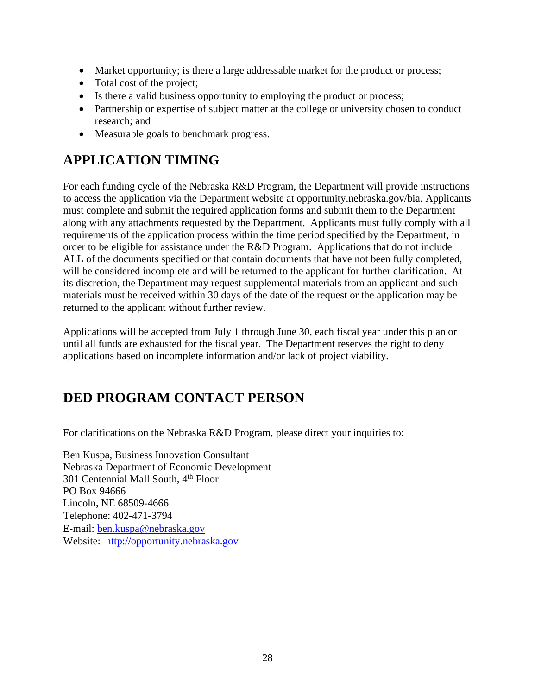- Market opportunity; is there a large addressable market for the product or process;
- Total cost of the project;
- Is there a valid business opportunity to employing the product or process;
- Partnership or expertise of subject matter at the college or university chosen to conduct research; and
- Measurable goals to benchmark progress.

## **APPLICATION TIMING**

For each funding cycle of the Nebraska R&D Program, the Department will provide instructions to access the application via the Department website at opportunity.nebraska.gov/bia. Applicants must complete and submit the required application forms and submit them to the Department along with any attachments requested by the Department. Applicants must fully comply with all requirements of the application process within the time period specified by the Department, in order to be eligible for assistance under the R&D Program. Applications that do not include ALL of the documents specified or that contain documents that have not been fully completed, will be considered incomplete and will be returned to the applicant for further clarification. At its discretion, the Department may request supplemental materials from an applicant and such materials must be received within 30 days of the date of the request or the application may be returned to the applicant without further review.

Applications will be accepted from July 1 through June 30, each fiscal year under this plan or until all funds are exhausted for the fiscal year. The Department reserves the right to deny applications based on incomplete information and/or lack of project viability.

# **DED PROGRAM CONTACT PERSON**

For clarifications on the Nebraska R&D Program, please direct your inquiries to:

Ben Kuspa, Business Innovation Consultant Nebraska Department of Economic Development 301 Centennial Mall South, 4<sup>th</sup> Floor PO Box 94666 Lincoln, NE 68509-4666 Telephone: 402‐471-3794 E‐mail: [ben.kuspa@nebraska.gov](mailto:ben.kuspa@nebraska.gov) Website: http://opportunity.nebraska.gov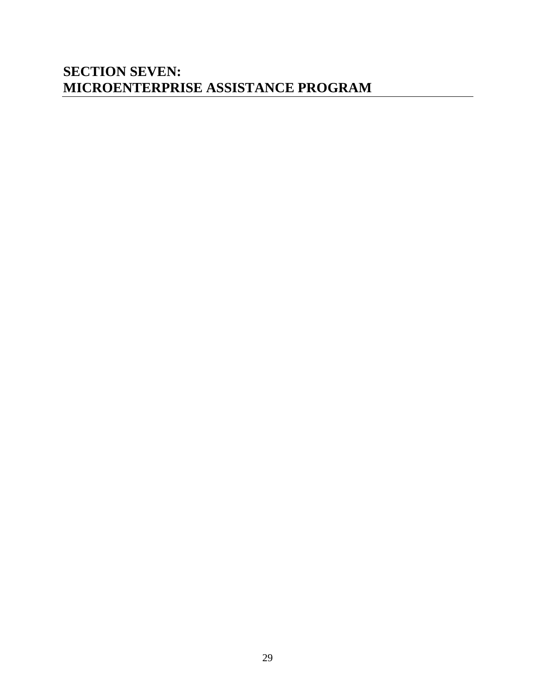#### **SECTION SEVEN: MICROENTERPRISE ASSISTANCE PROGRAM**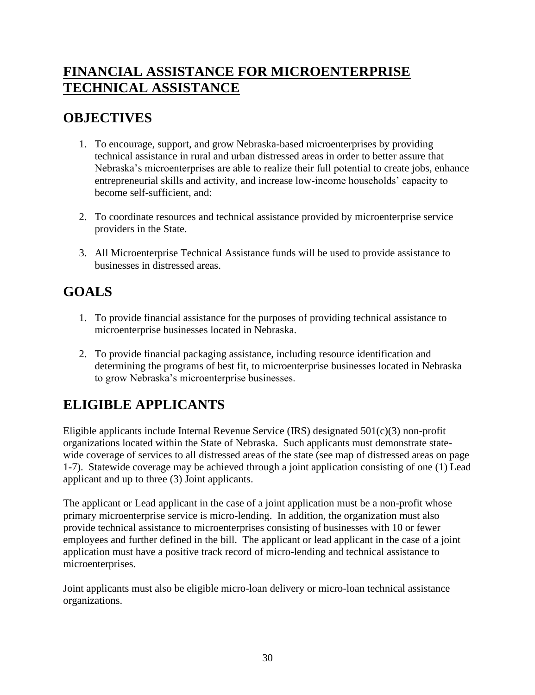#### **FINANCIAL ASSISTANCE FOR MICROENTERPRISE TECHNICAL ASSISTANCE**

#### **OBJECTIVES**

- 1. To encourage, support, and grow Nebraska-based microenterprises by providing technical assistance in rural and urban distressed areas in order to better assure that Nebraska's microenterprises are able to realize their full potential to create jobs, enhance entrepreneurial skills and activity, and increase low-income households' capacity to become self-sufficient, and:
- 2. To coordinate resources and technical assistance provided by microenterprise service providers in the State.
- 3. All Microenterprise Technical Assistance funds will be used to provide assistance to businesses in distressed areas.

#### **GOALS**

- 1. To provide financial assistance for the purposes of providing technical assistance to microenterprise businesses located in Nebraska.
- 2. To provide financial packaging assistance, including resource identification and determining the programs of best fit, to microenterprise businesses located in Nebraska to grow Nebraska's microenterprise businesses.

# **ELIGIBLE APPLICANTS**

Eligible applicants include Internal Revenue Service (IRS) designated  $501(c)(3)$  non-profit organizations located within the State of Nebraska. Such applicants must demonstrate statewide coverage of services to all distressed areas of the state (see map of distressed areas on page 1-7). Statewide coverage may be achieved through a joint application consisting of one (1) Lead applicant and up to three (3) Joint applicants.

The applicant or Lead applicant in the case of a joint application must be a non-profit whose primary microenterprise service is micro-lending. In addition, the organization must also provide technical assistance to microenterprises consisting of businesses with 10 or fewer employees and further defined in the bill. The applicant or lead applicant in the case of a joint application must have a positive track record of micro-lending and technical assistance to microenterprises.

Joint applicants must also be eligible micro-loan delivery or micro-loan technical assistance organizations.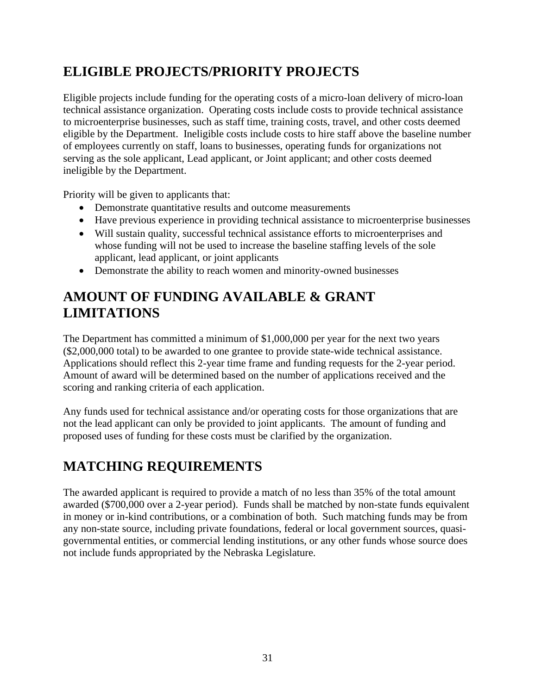## **ELIGIBLE PROJECTS/PRIORITY PROJECTS**

Eligible projects include funding for the operating costs of a micro-loan delivery of micro-loan technical assistance organization. Operating costs include costs to provide technical assistance to microenterprise businesses, such as staff time, training costs, travel, and other costs deemed eligible by the Department. Ineligible costs include costs to hire staff above the baseline number of employees currently on staff, loans to businesses, operating funds for organizations not serving as the sole applicant, Lead applicant, or Joint applicant; and other costs deemed ineligible by the Department.

Priority will be given to applicants that:

- Demonstrate quantitative results and outcome measurements
- Have previous experience in providing technical assistance to microenterprise businesses
- Will sustain quality, successful technical assistance efforts to microenterprises and whose funding will not be used to increase the baseline staffing levels of the sole applicant, lead applicant, or joint applicants
- Demonstrate the ability to reach women and minority-owned businesses

#### **AMOUNT OF FUNDING AVAILABLE & GRANT LIMITATIONS**

The Department has committed a minimum of \$1,000,000 per year for the next two years (\$2,000,000 total) to be awarded to one grantee to provide state-wide technical assistance. Applications should reflect this 2-year time frame and funding requests for the 2-year period. Amount of award will be determined based on the number of applications received and the scoring and ranking criteria of each application.

Any funds used for technical assistance and/or operating costs for those organizations that are not the lead applicant can only be provided to joint applicants. The amount of funding and proposed uses of funding for these costs must be clarified by the organization.

# **MATCHING REQUIREMENTS**

The awarded applicant is required to provide a match of no less than 35% of the total amount awarded (\$700,000 over a 2-year period). Funds shall be matched by non-state funds equivalent in money or in-kind contributions, or a combination of both. Such matching funds may be from any non-state source, including private foundations, federal or local government sources, quasigovernmental entities, or commercial lending institutions, or any other funds whose source does not include funds appropriated by the Nebraska Legislature.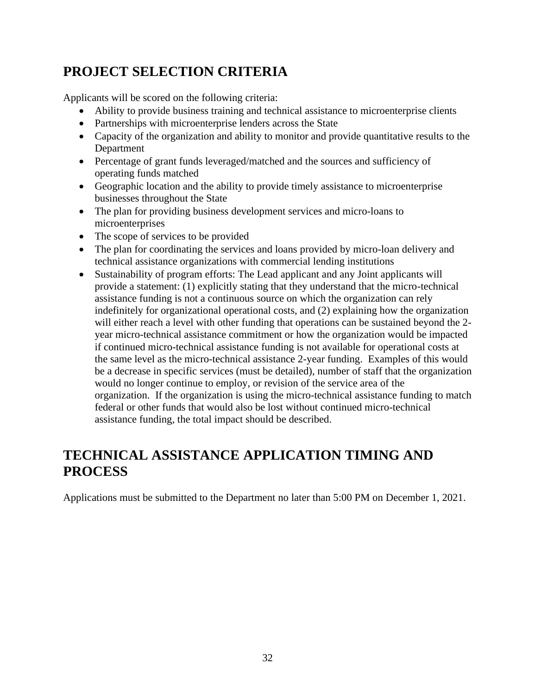# **PROJECT SELECTION CRITERIA**

Applicants will be scored on the following criteria:

- Ability to provide business training and technical assistance to microenterprise clients
- Partnerships with microenterprise lenders across the State
- Capacity of the organization and ability to monitor and provide quantitative results to the Department
- Percentage of grant funds leveraged/matched and the sources and sufficiency of operating funds matched
- Geographic location and the ability to provide timely assistance to microenterprise businesses throughout the State
- The plan for providing business development services and micro-loans to microenterprises
- The scope of services to be provided
- The plan for coordinating the services and loans provided by micro-loan delivery and technical assistance organizations with commercial lending institutions
- Sustainability of program efforts: The Lead applicant and any Joint applicants will provide a statement: (1) explicitly stating that they understand that the micro-technical assistance funding is not a continuous source on which the organization can rely indefinitely for organizational operational costs, and (2) explaining how the organization will either reach a level with other funding that operations can be sustained beyond the 2 year micro-technical assistance commitment or how the organization would be impacted if continued micro-technical assistance funding is not available for operational costs at the same level as the micro-technical assistance 2-year funding. Examples of this would be a decrease in specific services (must be detailed), number of staff that the organization would no longer continue to employ, or revision of the service area of the organization. If the organization is using the micro-technical assistance funding to match federal or other funds that would also be lost without continued micro-technical assistance funding, the total impact should be described.

#### **TECHNICAL ASSISTANCE APPLICATION TIMING AND PROCESS**

Applications must be submitted to the Department no later than 5:00 PM on December 1, 2021.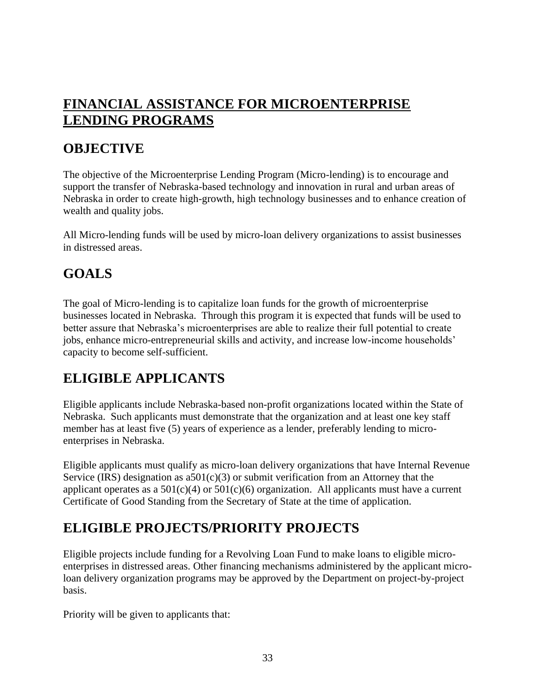#### **FINANCIAL ASSISTANCE FOR MICROENTERPRISE LENDING PROGRAMS**

#### **OBJECTIVE**

The objective of the Microenterprise Lending Program (Micro-lending) is to encourage and support the transfer of Nebraska-based technology and innovation in rural and urban areas of Nebraska in order to create high-growth, high technology businesses and to enhance creation of wealth and quality jobs.

All Micro-lending funds will be used by micro-loan delivery organizations to assist businesses in distressed areas.

# **GOALS**

The goal of Micro-lending is to capitalize loan funds for the growth of microenterprise businesses located in Nebraska. Through this program it is expected that funds will be used to better assure that Nebraska's microenterprises are able to realize their full potential to create jobs, enhance micro-entrepreneurial skills and activity, and increase low-income households' capacity to become self-sufficient.

#### **ELIGIBLE APPLICANTS**

Eligible applicants include Nebraska-based non-profit organizations located within the State of Nebraska. Such applicants must demonstrate that the organization and at least one key staff member has at least five (5) years of experience as a lender, preferably lending to microenterprises in Nebraska.

Eligible applicants must qualify as micro-loan delivery organizations that have Internal Revenue Service (IRS) designation as  $a501(c)(3)$  or submit verification from an Attorney that the applicant operates as a  $501(c)(4)$  or  $501(c)(6)$  organization. All applicants must have a current Certificate of Good Standing from the Secretary of State at the time of application.

#### **ELIGIBLE PROJECTS/PRIORITY PROJECTS**

Eligible projects include funding for a Revolving Loan Fund to make loans to eligible microenterprises in distressed areas. Other financing mechanisms administered by the applicant microloan delivery organization programs may be approved by the Department on project-by-project basis.

Priority will be given to applicants that: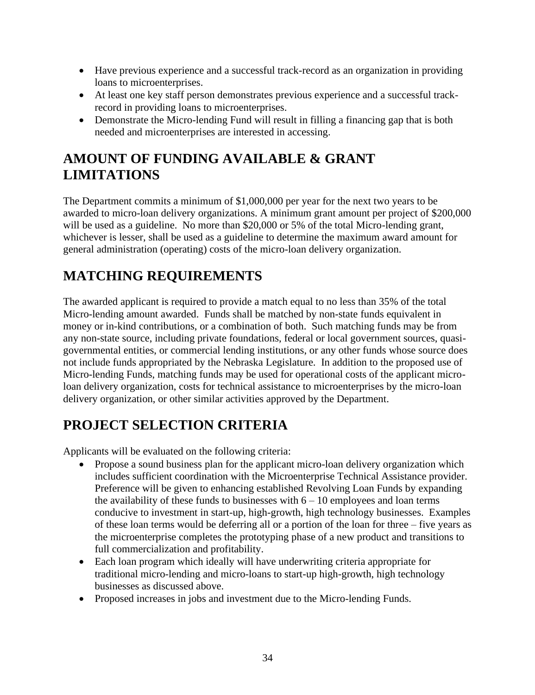- Have previous experience and a successful track-record as an organization in providing loans to microenterprises.
- At least one key staff person demonstrates previous experience and a successful trackrecord in providing loans to microenterprises.
- Demonstrate the Micro-lending Fund will result in filling a financing gap that is both needed and microenterprises are interested in accessing.

# **AMOUNT OF FUNDING AVAILABLE & GRANT LIMITATIONS**

The Department commits a minimum of \$1,000,000 per year for the next two years to be awarded to micro-loan delivery organizations. A minimum grant amount per project of \$200,000 will be used as a guideline. No more than \$20,000 or 5% of the total Micro-lending grant, whichever is lesser, shall be used as a guideline to determine the maximum award amount for general administration (operating) costs of the micro-loan delivery organization.

# **MATCHING REQUIREMENTS**

The awarded applicant is required to provide a match equal to no less than 35% of the total Micro-lending amount awarded. Funds shall be matched by non-state funds equivalent in money or in-kind contributions, or a combination of both. Such matching funds may be from any non-state source, including private foundations, federal or local government sources, quasigovernmental entities, or commercial lending institutions, or any other funds whose source does not include funds appropriated by the Nebraska Legislature. In addition to the proposed use of Micro-lending Funds, matching funds may be used for operational costs of the applicant microloan delivery organization, costs for technical assistance to microenterprises by the micro-loan delivery organization, or other similar activities approved by the Department.

# **PROJECT SELECTION CRITERIA**

Applicants will be evaluated on the following criteria:

- Propose a sound business plan for the applicant micro-loan delivery organization which includes sufficient coordination with the Microenterprise Technical Assistance provider. Preference will be given to enhancing established Revolving Loan Funds by expanding the availability of these funds to businesses with  $6 - 10$  employees and loan terms conducive to investment in start-up, high-growth, high technology businesses. Examples of these loan terms would be deferring all or a portion of the loan for three – five years as the microenterprise completes the prototyping phase of a new product and transitions to full commercialization and profitability.
- Each loan program which ideally will have underwriting criteria appropriate for traditional micro-lending and micro-loans to start-up high-growth, high technology businesses as discussed above.
- Proposed increases in jobs and investment due to the Micro-lending Funds.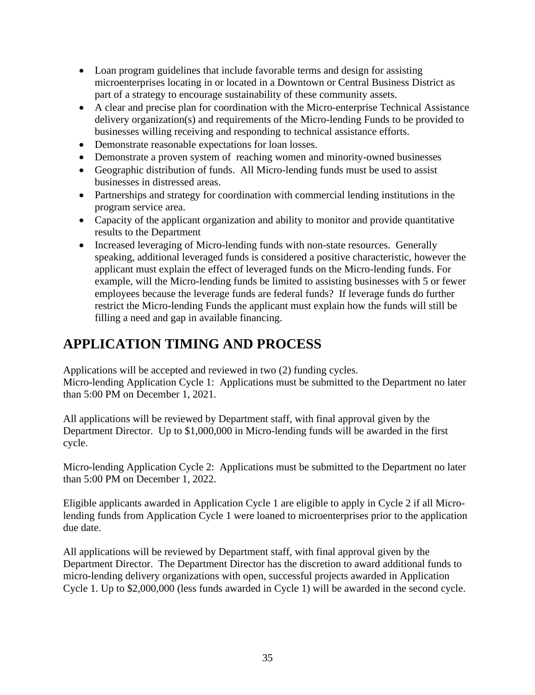- Loan program guidelines that include favorable terms and design for assisting microenterprises locating in or located in a Downtown or Central Business District as part of a strategy to encourage sustainability of these community assets.
- A clear and precise plan for coordination with the Micro-enterprise Technical Assistance delivery organization(s) and requirements of the Micro-lending Funds to be provided to businesses willing receiving and responding to technical assistance efforts.
- Demonstrate reasonable expectations for loan losses.
- Demonstrate a proven system of reaching women and minority-owned businesses
- Geographic distribution of funds. All Micro-lending funds must be used to assist businesses in distressed areas.
- Partnerships and strategy for coordination with commercial lending institutions in the program service area.
- Capacity of the applicant organization and ability to monitor and provide quantitative results to the Department
- Increased leveraging of Micro-lending funds with non-state resources. Generally speaking, additional leveraged funds is considered a positive characteristic, however the applicant must explain the effect of leveraged funds on the Micro-lending funds. For example, will the Micro-lending funds be limited to assisting businesses with 5 or fewer employees because the leverage funds are federal funds? If leverage funds do further restrict the Micro-lending Funds the applicant must explain how the funds will still be filling a need and gap in available financing.

# **APPLICATION TIMING AND PROCESS**

Applications will be accepted and reviewed in two (2) funding cycles.

Micro-lending Application Cycle 1: Applications must be submitted to the Department no later than 5:00 PM on December 1, 2021.

All applications will be reviewed by Department staff, with final approval given by the Department Director. Up to \$1,000,000 in Micro-lending funds will be awarded in the first cycle.

Micro-lending Application Cycle 2: Applications must be submitted to the Department no later than 5:00 PM on December 1, 2022.

Eligible applicants awarded in Application Cycle 1 are eligible to apply in Cycle 2 if all Microlending funds from Application Cycle 1 were loaned to microenterprises prior to the application due date.

All applications will be reviewed by Department staff, with final approval given by the Department Director. The Department Director has the discretion to award additional funds to micro-lending delivery organizations with open, successful projects awarded in Application Cycle 1. Up to \$2,000,000 (less funds awarded in Cycle 1) will be awarded in the second cycle.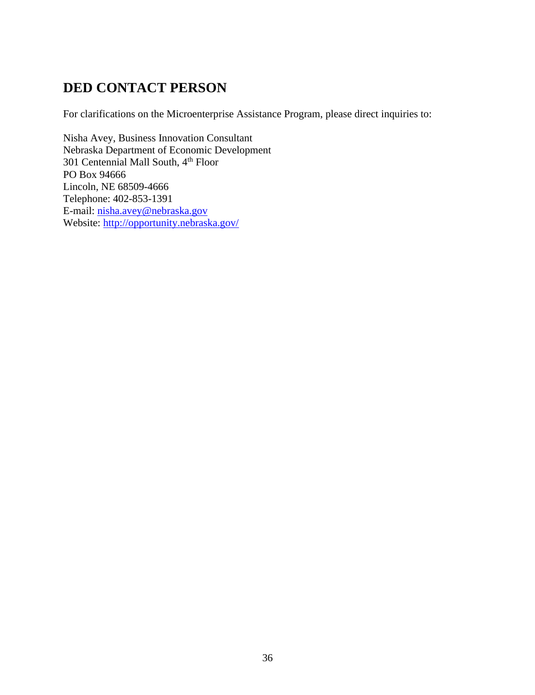#### **DED CONTACT PERSON**

For clarifications on the Microenterprise Assistance Program, please direct inquiries to:

Nisha Avey, Business Innovation Consultant Nebraska Department of Economic Development 301 Centennial Mall South, 4<sup>th</sup> Floor PO Box 94666 Lincoln, NE 68509-4666 Telephone: 402-853-1391 E-mail: [nisha.avey@nebraska.gov](mailto:nisha.avey@nebraska.gov) Website:<http://opportunity.nebraska.gov/>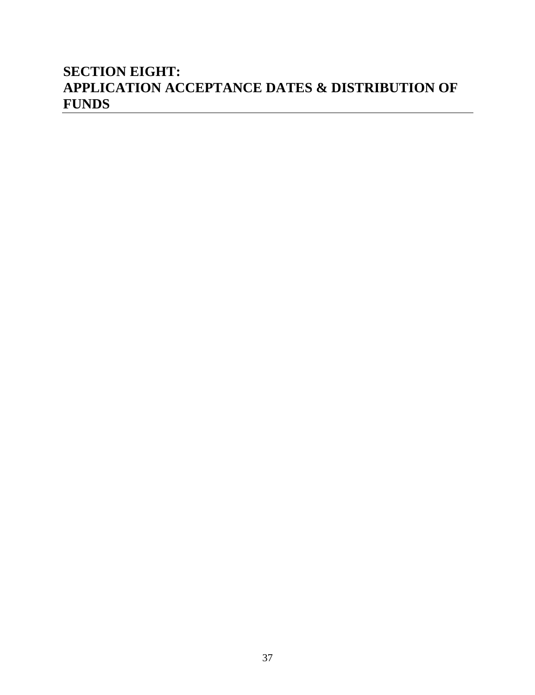#### **SECTION EIGHT: APPLICATION ACCEPTANCE DATES & DISTRIBUTION OF FUNDS**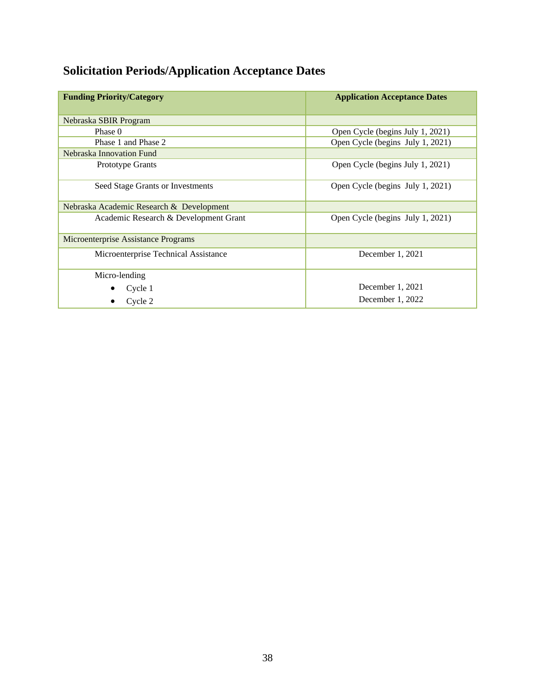# **Solicitation Periods/Application Acceptance Dates**

| <b>Funding Priority/Category</b>         | <b>Application Acceptance Dates</b> |
|------------------------------------------|-------------------------------------|
| Nebraska SBIR Program                    |                                     |
| Phase 0                                  | Open Cycle (begins July 1, 2021)    |
| Phase 1 and Phase 2                      | Open Cycle (begins July 1, 2021)    |
| Nebraska Innovation Fund                 |                                     |
| Prototype Grants                         | Open Cycle (begins July 1, 2021)    |
| Seed Stage Grants or Investments         | Open Cycle (begins July 1, 2021)    |
| Nebraska Academic Research & Development |                                     |
| Academic Research & Development Grant    | Open Cycle (begins July 1, 2021)    |
| Microenterprise Assistance Programs      |                                     |
| Microenterprise Technical Assistance     | December 1, 2021                    |
| Micro-lending                            |                                     |
| Cycle 1                                  | December 1, 2021                    |
| Cycle 2                                  | December $1, 2022$                  |